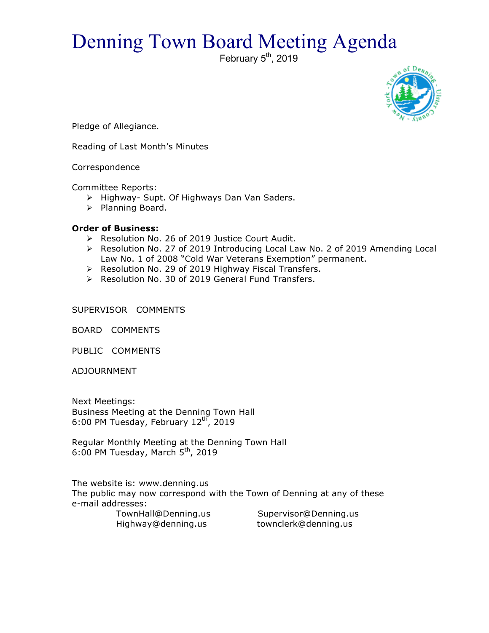## Denning Town Board Meeting Agenda

February  $5<sup>th</sup>$ , 2019



Pledge of Allegiance.

Reading of Last Month's Minutes

Correspondence

Committee Reports:

- > Highway- Supt. Of Highways Dan Van Saders.
- > Planning Board.

## **Order of Business:**

- > Resolution No. 26 of 2019 Justice Court Audit.
- $\triangleright$  Resolution No. 27 of 2019 Introducing Local Law No. 2 of 2019 Amending Local Law No. 1 of 2008 "Cold War Veterans Exemption" permanent.
- > Resolution No. 29 of 2019 Highway Fiscal Transfers.
- > Resolution No. 30 of 2019 General Fund Transfers.

SUPERVISOR COMMENTS

BOARD COMMENTS

PUBLIC COMMENTS

ADJOURNMENT

Next Meetings: Business Meeting at the Denning Town Hall 6:00 PM Tuesday, February  $12^{\text{th}}$ , 2019

Regular Monthly Meeting at the Denning Town Hall 6:00 PM Tuesday, March  $5<sup>th</sup>$ , 2019

The website is: www.denning.us The public may now correspond with the Town of Denning at any of these e-mail addresses:

 TownHall@Denning.us Supervisor@Denning.us Highway@denning.us townclerk@denning.us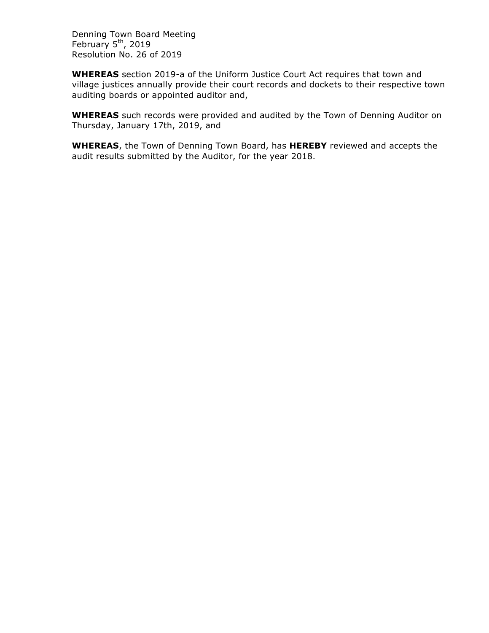Denning Town Board Meeting February  $5<sup>th</sup>$ , 2019 Resolution No. 26 of 2019

**WHEREAS** section 2019-a of the Uniform Justice Court Act requires that town and village justices annually provide their court records and dockets to their respective town auditing boards or appointed auditor and,

**WHEREAS** such records were provided and audited by the Town of Denning Auditor on Thursday, January 17th, 2019, and

**WHEREAS**, the Town of Denning Town Board, has **HEREBY** reviewed and accepts the audit results submitted by the Auditor, for the year 2018.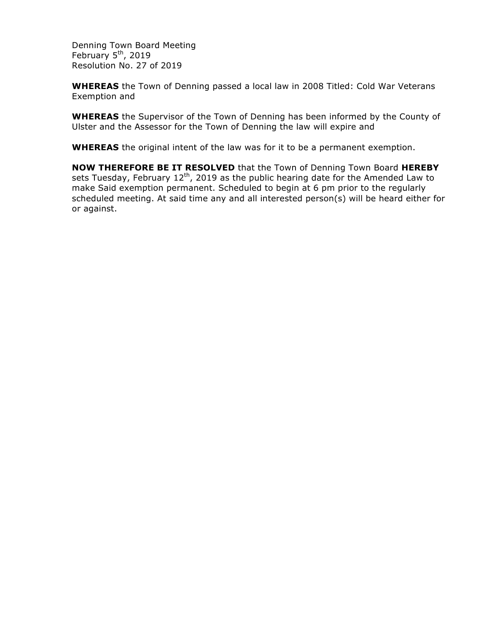Denning Town Board Meeting February 5<sup>th</sup>, 2019 Resolution No. 27 of 2019

**WHEREAS** the Town of Denning passed a local law in 2008 Titled: Cold War Veterans Exemption and

**WHEREAS** the Supervisor of the Town of Denning has been informed by the County of Ulster and the Assessor for the Town of Denning the law will expire and

**WHEREAS** the original intent of the law was for it to be a permanent exemption.

**NOW THEREFORE BE IT RESOLVED** that the Town of Denning Town Board **HEREBY** sets Tuesday, February  $12<sup>th</sup>$ , 2019 as the public hearing date for the Amended Law to make Said exemption permanent. Scheduled to begin at 6 pm prior to the regularly scheduled meeting. At said time any and all interested person(s) will be heard either for or against.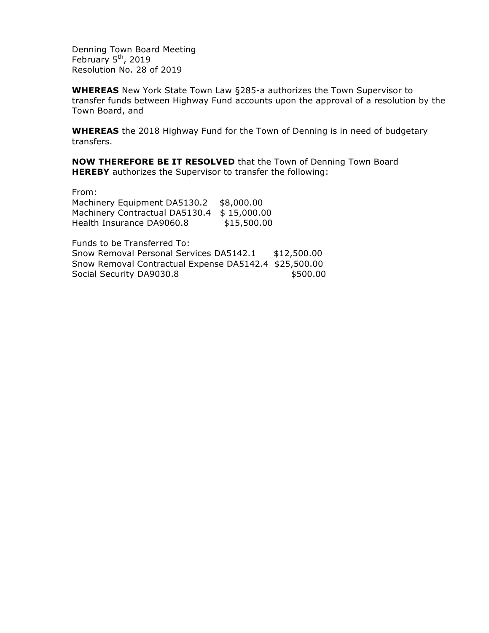Denning Town Board Meeting February  $5<sup>th</sup>$ , 2019 Resolution No. 28 of 2019

**WHEREAS** New York State Town Law §285-a authorizes the Town Supervisor to transfer funds between Highway Fund accounts upon the approval of a resolution by the Town Board, and

**WHEREAS** the 2018 Highway Fund for the Town of Denning is in need of budgetary transfers.

**NOW THEREFORE BE IT RESOLVED** that the Town of Denning Town Board **HEREBY** authorizes the Supervisor to transfer the following:

From:

Machinery Equipment DA5130.2 \$8,000.00 Machinery Contractual DA5130.4 \$15,000.00 Health Insurance DA9060.8 \$15,500.00

Funds to be Transferred To: Snow Removal Personal Services DA5142.1 \$12,500.00 Snow Removal Contractual Expense DA5142.4 \$25,500.00 Social Security DA9030.8 \$500.00